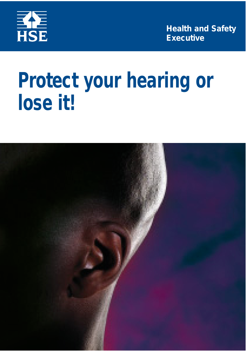

**Health and Safety Executive**

# **Protect your hearing or lose it!**

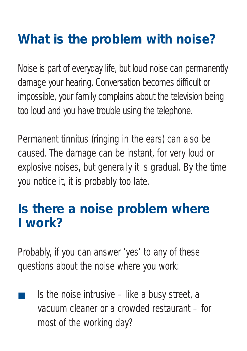## **What is the problem with noise?**

Noise is part of everyday life, but loud noise can permanently damage your hearing. Conversation becomes difficult or impossible, your family complains about the television being too loud and you have trouble using the telephone.

Permanent tinnitus (ringing in the ears) can also be caused. The damage can be instant, for very loud or explosive noises, but generally it is gradual. By the time you notice it, it is probably too late.

#### **Is there a noise problem where I work?**

Probably, if you can answer 'yes' to any of these questions about the noise where you work:

Is the noise intrusive  $-$  like a busy street, a vacuum cleaner or a crowded restaurant – for most of the working day?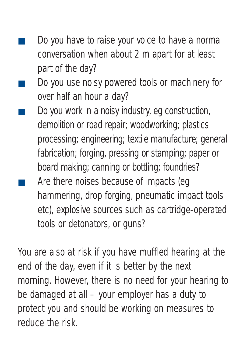- Do you have to raise your voice to have a normal conversation when about 2 m apart for at least part of the day?
- Do you use noisy powered tools or machinery for over half an hour a day?
- Do you work in a noisy industry, eg construction, demolition or road repair; woodworking; plastics processing; engineering; textile manufacture; general fabrication; forging, pressing or stamping; paper or board making; canning or bottling; foundries?
- Are there noises because of impacts (eq hammering, drop forging, pneumatic impact tools etc), explosive sources such as cartridge-operated tools or detonators, or guns?

You are also at risk if you have muffled hearing at the end of the day, even if it is better by the next morning. However, there is no need for your hearing to be damaged at all – your employer has a duty to protect you and should be working on measures to reduce the risk.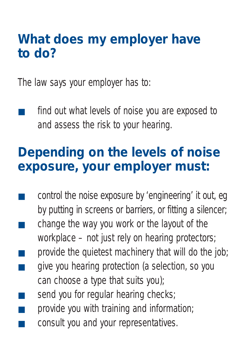#### **What does my employer have to do?**

The law says your employer has to:

find out what levels of noise you are exposed to and assess the risk to your hearing.

#### **Depending on the levels of noise exposure, your employer must:**

- control the noise exposure by 'engineering' it out, eg by putting in screens or barriers, or fitting a silencer;
- change the way you work or the layout of the workplace – not just rely on hearing protectors;
- provide the quietest machinery that will do the job;
- give you hearing protection (a selection, so you can choose a type that suits you);
- send you for regular hearing checks;
- provide you with training and information;
- consult you and your representatives.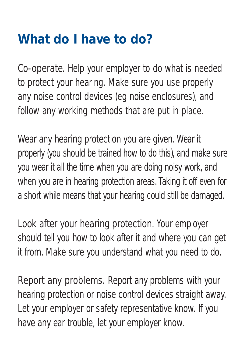### **What do I have to do?**

*Co-operate.* Help your employer to do what is needed to protect your hearing. Make sure you use properly any noise control devices (eg noise enclosures), and follow any working methods that are put in place.

*Wear any hearing protection you are given.* Wear it properly (you should be trained how to do this), and make sure you wear it all the time when you are doing noisy work, and when you are in hearing protection areas. Taking it off even for a short while means that your hearing could still be damaged.

*Look after your hearing protection.* Your employer should tell you how to look after it and where you can get it from. Make sure you understand what you need to do.

*Report any problems.* Report any problems with your hearing protection or noise control devices straight away. Let your employer or safety representative know. If you have any ear trouble, let your employer know.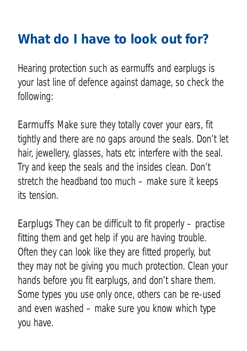## **What do I have to look out for?**

Hearing protection such as earmuffs and earplugs is your last line of defence against damage, so check the following:

*Earmuffs* Make sure they totally cover your ears, fit tightly and there are no gaps around the seals. Don't let hair, jewellery, glasses, hats etc interfere with the seal. Try and keep the seals and the insides clean. Don't stretch the headband too much – make sure it keeps its tension.

*Earplugs* They can be difficult to fit properly – practise fitting them and get help if you are having trouble. Often they can look like they are fitted properly, but they may not be giving you much protection. Clean your hands before you fit earplugs, and don't share them. Some types you use only once, others can be re-used and even washed – make sure you know which type you have.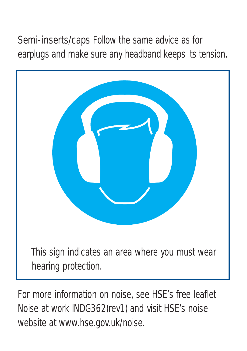*Semi-inserts/caps* Follow the same advice as for earplugs and make sure any headband keeps its tension.



For more information on noise, see HSE's free leaflet *Noise at work* INDG362(rev1) and visit HSE's noise website at www.hse.gov.uk/noise.